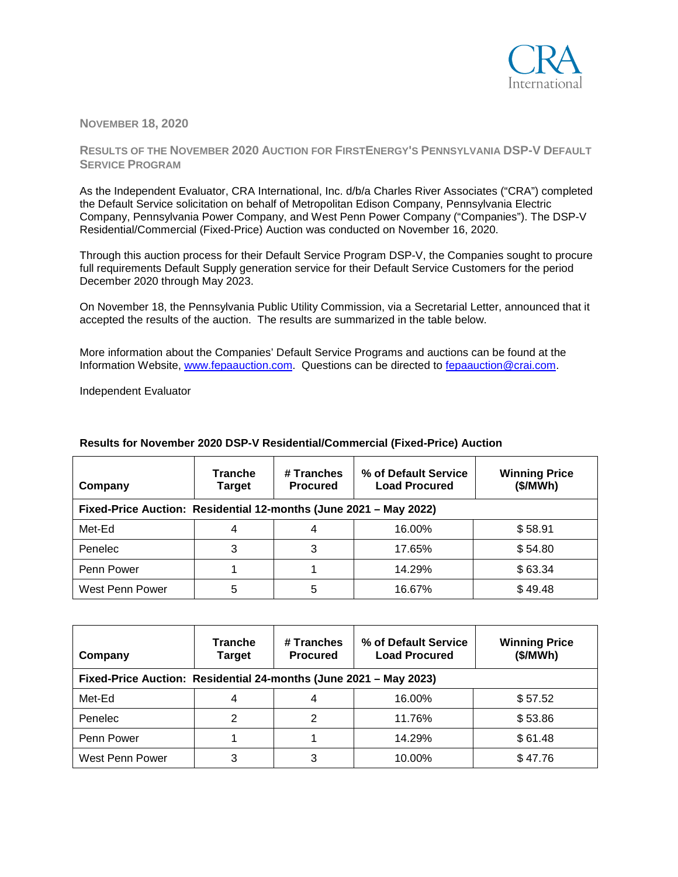

## **NOVEMBER 18, 2020**

## **RESULTS OF THE NOVEMBER 2020 AUCTION FOR FIRSTENERGY'S PENNSYLVANIA DSP-V DEFAULT SERVICE PROGRAM**

As the Independent Evaluator, CRA International, Inc. d/b/a Charles River Associates ("CRA") completed the Default Service solicitation on behalf of Metropolitan Edison Company, Pennsylvania Electric Company, Pennsylvania Power Company, and West Penn Power Company ("Companies"). The DSP-V Residential/Commercial (Fixed-Price) Auction was conducted on November 16, 2020.

Through this auction process for their Default Service Program DSP-V, the Companies sought to procure full requirements Default Supply generation service for their Default Service Customers for the period December 2020 through May 2023.

On November 18, the Pennsylvania Public Utility Commission, via a Secretarial Letter, announced that it accepted the results of the auction. The results are summarized in the table below.

More information about the Companies' Default Service Programs and auctions can be found at the Information Website, [www.fepaauction.com.](http://www.fepaauction.com/) Questions can be directed to [fepaauction@crai.com.](mailto:fepaauction@crai.com)

Independent Evaluator

| Company                                                           | <b>Tranche</b><br>Target | # Tranches<br><b>Procured</b> | % of Default Service<br><b>Load Procured</b> | <b>Winning Price</b><br>(\$/MWh) |  |
|-------------------------------------------------------------------|--------------------------|-------------------------------|----------------------------------------------|----------------------------------|--|
| Fixed-Price Auction: Residential 12-months (June 2021 - May 2022) |                          |                               |                                              |                                  |  |
| Met-Ed                                                            |                          | 4                             | 16.00%                                       | \$58.91                          |  |
| Penelec                                                           | 3                        | 3                             | 17.65%                                       | \$54.80                          |  |
| Penn Power                                                        |                          |                               | 14.29%                                       | \$63.34                          |  |
| West Penn Power                                                   | 5                        | 5                             | 16.67%                                       | \$49.48                          |  |

## **Results for November 2020 DSP-V Residential/Commercial (Fixed-Price) Auction**

| Company                                                           | <b>Tranche</b><br><b>Target</b> | # Tranches<br><b>Procured</b> | % of Default Service<br><b>Load Procured</b> | <b>Winning Price</b><br>(\$/MWh) |  |
|-------------------------------------------------------------------|---------------------------------|-------------------------------|----------------------------------------------|----------------------------------|--|
| Fixed-Price Auction: Residential 24-months (June 2021 - May 2023) |                                 |                               |                                              |                                  |  |
| Met-Ed                                                            |                                 | 4                             | 16.00%                                       | \$57.52                          |  |
| Penelec                                                           |                                 |                               | 11.76%                                       | \$53.86                          |  |
| Penn Power                                                        |                                 |                               | 14.29%                                       | \$61.48                          |  |
| West Penn Power                                                   | 3                               | 3                             | 10.00%                                       | \$47.76                          |  |